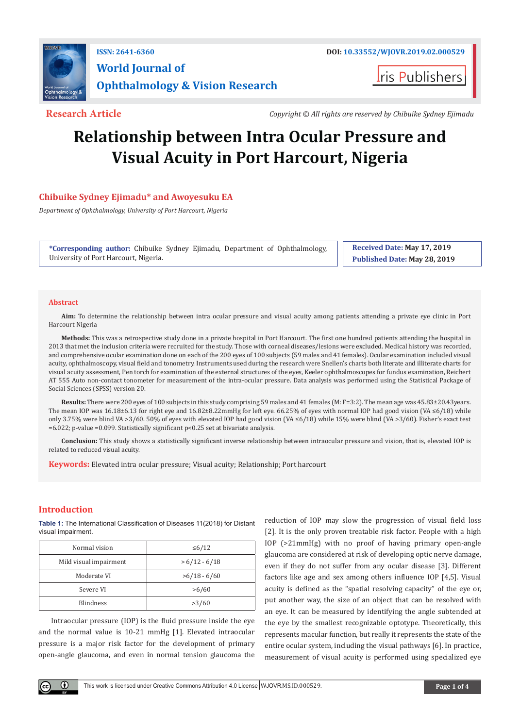

**I**ris Publishers

**Research Article** *Copyright © All rights are reserved by Chibuike Sydney Ejimadu*

# **Relationship between Intra Ocular Pressure and Visual Acuity in Port Harcourt, Nigeria**

# **Chibuike Sydney Ejimadu\* and Awoyesuku EA**

*Department of Ophthalmology, University of Port Harcourt, Nigeria*

**\*Corresponding author:** Chibuike Sydney Ejimadu, Department of Ophthalmology, University of Port Harcourt, Nigeria.

**Received Date: May 17, 2019 Published Date: May 28, 2019**

#### **Abstract**

**Aim:** To determine the relationship between intra ocular pressure and visual acuity among patients attending a private eye clinic in Port Harcourt Nigeria

**Methods:** This was a retrospective study done in a private hospital in Port Harcourt. The first one hundred patients attending the hospital in 2013 that met the inclusion criteria were recruited for the study. Those with corneal diseases/lesions were excluded. Medical history was recorded, and comprehensive ocular examination done on each of the 200 eyes of 100 subjects (59 males and 41 females). Ocular examination included visual acuity, ophthalmoscopy, visual field and tonometry. Instruments used during the research were Snellen's charts both literate and illiterate charts for visual acuity assessment, Pen torch for examination of the external structures of the eyes, Keeler ophthalmoscopes for fundus examination, Reichert AT 555 Auto non-contact tonometer for measurement of the intra-ocular pressure. Data analysis was performed using the Statistical Package of Social Sciences (SPSS) version 20.

**Results:** There were 200 eyes of 100 subjects in this study comprising 59 males and 41 females (M: F=3:2). The mean age was 45.83±20.43years. The mean IOP was 16.18±6.13 for right eye and 16.82±8.22mmHg for left eye. 66.25% of eyes with normal IOP had good vision (VA ≤6/18) while only 3.75% were blind VA >3/60. 50% of eyes with elevated IOP had good vision (VA ≤6/18) while 15% were blind (VA >3/60). Fisher's exact test =6.022; p-value =0.099. Statistically significant p<0.25 set at bivariate analysis.

**Conclusion:** This study shows a statistically significant inverse relationship between intraocular pressure and vision, that is, elevated IOP is related to reduced visual acuity.

**Keywords:** Elevated intra ocular pressure; Visual acuity; Relationship; Port harcourt

# **Introduction**

 $\bf \Theta$ 

**Table 1:** The International Classification of Diseases 11(2018) for Distant visual impairment.

| Normal vision          | $\leq 6/12$     |  |  |
|------------------------|-----------------|--|--|
| Mild visual impairment | $> 6/12 - 6/18$ |  |  |
| Moderate VI            | $>6/18 - 6/60$  |  |  |
| Severe VI              | >6/60           |  |  |
| <b>Blindness</b>       | >3/60           |  |  |

Intraocular pressure (IOP) is the fluid pressure inside the eye and the normal value is 10-21 mmHg [1]. Elevated intraocular pressure is a major risk factor for the development of primary open-angle glaucoma, and even in normal tension glaucoma the

reduction of IOP may slow the progression of visual field loss [2]. It is the only proven treatable risk factor. People with a high IOP (>21mmHg) with no proof of having primary open-angle glaucoma are considered at risk of developing optic nerve damage, even if they do not suffer from any ocular disease [3]. Different factors like age and sex among others influence IOP [4,5]. Visual acuity is defined as the "spatial resolving capacity" of the eye or, put another way, the size of an object that can be resolved with an eye. It can be measured by identifying the angle subtended at the eye by the smallest recognizable optotype. Theoretically, this represents macular function, but really it represents the state of the entire ocular system, including the visual pathways [6]. In practice, measurement of visual acuity is performed using specialized eye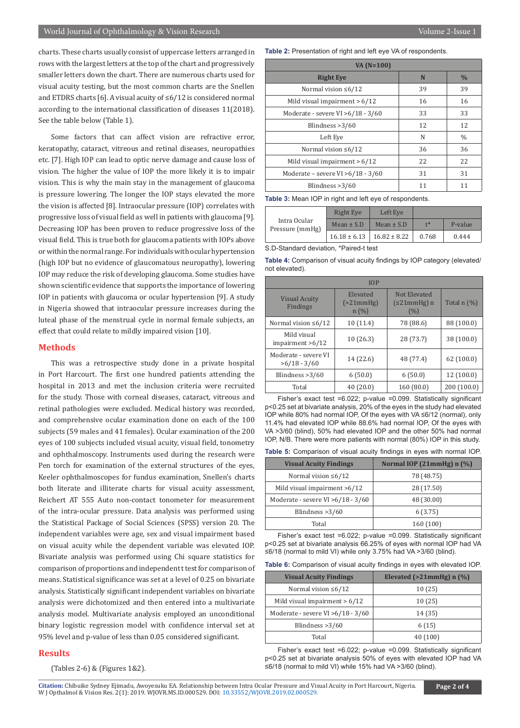charts. These charts usually consist of uppercase letters arranged in rows with the largest letters at the top of the chart and progressively smaller letters down the chart. There are numerous charts used for visual acuity testing, but the most common charts are the Snellen and ETDRS charts [6]. A visual acuity of ≤6/12 is considered normal according to the international classification of diseases 11(2018). See the table below (Table 1).

Some factors that can affect vision are refractive error, keratopathy, cataract, vitreous and retinal diseases, neuropathies etc. [7]. High IOP can lead to optic nerve damage and cause loss of vision. The higher the value of IOP the more likely it is to impair vision. This is why the main stay in the management of glaucoma is pressure lowering. The longer the IOP stays elevated the more the vision is affected [8]. Intraocular pressure (IOP) correlates with progressive loss of visual field as well in patients with glaucoma [9]. Decreasing IOP has been proven to reduce progressive loss of the visual field. This is true both for glaucoma patients with IOPs above or within the normal range. For individuals with ocular hypertension (high IOP but no evidence of glaucomatous neuropathy), lowering IOP may reduce the risk of developing glaucoma. Some studies have shown scientific evidence that supports the importance of lowering IOP in patients with glaucoma or ocular hypertension [9]. A study in Nigeria showed that intraocular pressure increases during the luteal phase of the menstrual cycle in normal female subjects, an effect that could relate to mildly impaired vision [10].

# **Methods**

This was a retrospective study done in a private hospital in Port Harcourt. The first one hundred patients attending the hospital in 2013 and met the inclusion criteria were recruited for the study. Those with corneal diseases, cataract, vitreous and retinal pathologies were excluded. Medical history was recorded, and comprehensive ocular examination done on each of the 100 subjects (59 males and 41 females). Ocular examination of the 200 eyes of 100 subjects included visual acuity, visual field, tonometry and ophthalmoscopy. Instruments used during the research were Pen torch for examination of the external structures of the eyes, Keeler ophthalmoscopes for fundus examination, Snellen's charts both literate and illiterate charts for visual acuity assessment, Reichert AT 555 Auto non-contact tonometer for measurement of the intra-ocular pressure. Data analysis was performed using the Statistical Package of Social Sciences (SPSS) version 20. The independent variables were age, sex and visual impairment based on visual acuity while the dependent variable was elevated IOP. Bivariate analysis was performed using Chi square statistics for comparison of proportions and independent t test for comparison of means. Statistical significance was set at a level of 0.25 on bivariate analysis. Statistically significant independent variables on bivariate analysis were dichotomized and then entered into a multivariate analysis model. Multivariate analysis employed an unconditional binary logistic regression model with confidence interval set at 95% level and p-value of less than 0.05 considered significant.

#### **Results**

(Tables 2-6) & (Figures 1&2).

**Table 2:** Presentation of right and left eye VA of respondents.

| $VA(N=100)$                          |    |               |  |  |
|--------------------------------------|----|---------------|--|--|
| <b>Right Eye</b>                     | N  | $\frac{0}{0}$ |  |  |
| Normal vision $\leq 6/12$            | 39 | 39            |  |  |
| Mild visual impairment $> 6/12$      | 16 | 16            |  |  |
| Moderate - severe VI > $6/18 - 3/60$ | 33 | 33            |  |  |
| Blindness $>3/60$                    | 12 | 12            |  |  |
| Left Eye                             | N  | $\frac{0}{0}$ |  |  |
| Normal vision $\leq 6/12$            | 36 | 36            |  |  |
| Mild visual impairment $> 6/12$      | 22 | 22            |  |  |
| Moderate – severe VI > 6/18 - 3/60   | 31 | 31            |  |  |
| Blindness $>3/60$                    | 11 | 11            |  |  |

Table 3: Mean IOP in right and left eye of respondents.

| Intra Ocular<br>Pressure (mmHg) | Right Eye                           | Left Eye       |       |         |
|---------------------------------|-------------------------------------|----------------|-------|---------|
|                                 | Mean $\pm$ S.D                      | Mean $\pm$ S.D | $+$ * | P-value |
|                                 | $16.18 \pm 6.13$   $16.82 \pm 8.22$ |                | 0.768 | 0.444   |

S.D-Standard deviation, \*Paired-t test

**Table 4:** Comparison of visual acuity findings by IOP category (elevated/ not elevated).

| IOP              |  |  |  |  |
|------------------|--|--|--|--|
| Total $n$ $(\%)$ |  |  |  |  |
| 88 (100.0)       |  |  |  |  |
| 38 (100.0)       |  |  |  |  |
| 62(100.0)        |  |  |  |  |
| 12(100.0)        |  |  |  |  |
| 200 (100.0)      |  |  |  |  |
|                  |  |  |  |  |

Fisher's exact test =6.022; p-value =0.099. Statistically significant p<0.25 set at bivariate analysis, 20% of the eyes in the study had elevated IOP while 80% had normal IOP, Of the eyes with VA ≤6/12 (normal), only 11.4% had elevated IOP while 88.6% had normal IOP, Of the eyes with VA >3/60 (blind), 50% had elevated IOP and the other 50% had normal IOP, N/B. There were more patients with normal (80%) IOP in this study.

**Table 5:** Comparison of visual acuity findings in eyes with normal IOP.

| <b>Visual Acuity Findings</b>        | Normal IOP $(21mmHg)$ n $(\%)$ |  |  |
|--------------------------------------|--------------------------------|--|--|
| Normal vision $\leq 6/12$            | 78 (48.75)                     |  |  |
| Mild visual impairment >6/12         | 28 (17.50)                     |  |  |
| Moderate - severe $VI > 6/18 - 3/60$ | 48 (30.00)                     |  |  |
| Blindness $>3/60$                    | 6(3.75)                        |  |  |
| Total                                | 160 (100)                      |  |  |

Fisher's exact test =6.022; p-value =0.099. Statistically significant p<0.25 set at bivariate analysis 66.25% of eyes with normal IOP had VA ≤6/18 (normal to mild VI) while only 3.75% had VA >3/60 (blind).

|  |  |  | <b>Table 6:</b> Comparison of visual acuity findings in eyes with elevated IOP. |
|--|--|--|---------------------------------------------------------------------------------|
|  |  |  |                                                                                 |
|  |  |  |                                                                                 |

| <b>Visual Acuity Findings</b>        | Elevated ( $>21$ mmHg) n (%) |  |  |
|--------------------------------------|------------------------------|--|--|
| Normal vision $\leq 6/12$            | 10 (25)                      |  |  |
| Mild visual impairment $> 6/12$      | 10(25)                       |  |  |
| Moderate - severe VI > $6/18 - 3/60$ | 14 (35)                      |  |  |
| Blindness $>3/60$                    | 6(15)                        |  |  |
| Total                                | 40 (100)                     |  |  |

Fisher's exact test =6.022; p-value =0.099. Statistically significant p<0.25 set at bivariate analysis 50% of eyes with elevated IOP had VA ≤6/18 (normal to mild VI) while 15% had VA >3/60 (blind).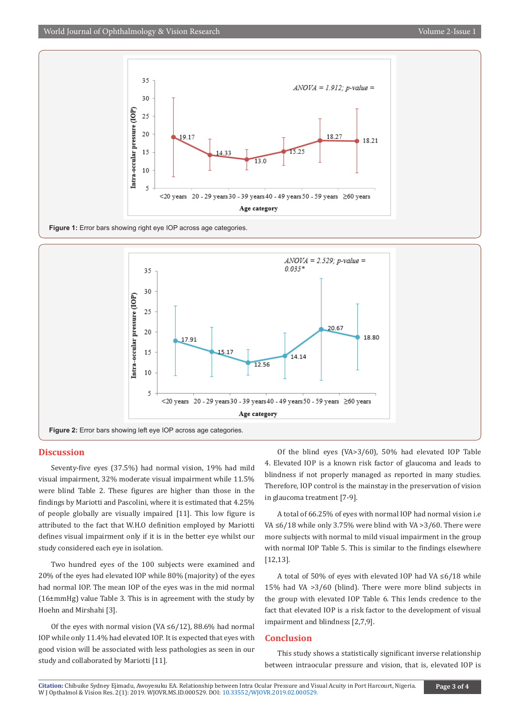



# **Discussion**

Seventy-five eyes (37.5%) had normal vision, 19% had mild visual impairment, 32% moderate visual impairment while 11.5% were blind Table 2. These figures are higher than those in the findings by Mariotti and Pascolini, where it is estimated that 4.25% of people globally are visually impaired [11]. This low figure is attributed to the fact that W.H.O definition employed by Mariotti defines visual impairment only if it is in the better eye whilst our study considered each eye in isolation.

Two hundred eyes of the 100 subjects were examined and 20% of the eyes had elevated IOP while 80% (majority) of the eyes had normal IOP. The mean IOP of the eyes was in the mid normal (16±mmHg) value Table 3. This is in agreement with the study by Hoehn and Mirshahi [3].

Of the eyes with normal vision (VA ≤6/12), 88.6% had normal IOP while only 11.4% had elevated IOP. It is expected that eyes with good vision will be associated with less pathologies as seen in our study and collaborated by Mariotti [11].

Of the blind eyes (VA>3/60), 50% had elevated IOP Table 4. Elevated IOP is a known risk factor of glaucoma and leads to blindness if not properly managed as reported in many studies. Therefore, IOP control is the mainstay in the preservation of vision in glaucoma treatment [7-9].

A total of 66.25% of eyes with normal IOP had normal vision i.e VA ≤6/18 while only 3.75% were blind with VA >3/60. There were more subjects with normal to mild visual impairment in the group with normal IOP Table 5. This is similar to the findings elsewhere [12,13].

A total of 50% of eyes with elevated IOP had VA ≤6/18 while 15% had VA >3/60 (blind). There were more blind subjects in the group with elevated IOP Table 6. This lends credence to the fact that elevated IOP is a risk factor to the development of visual impairment and blindness [2,7,9].

# **Conclusion**

This study shows a statistically significant inverse relationship between intraocular pressure and vision, that is, elevated IOP is